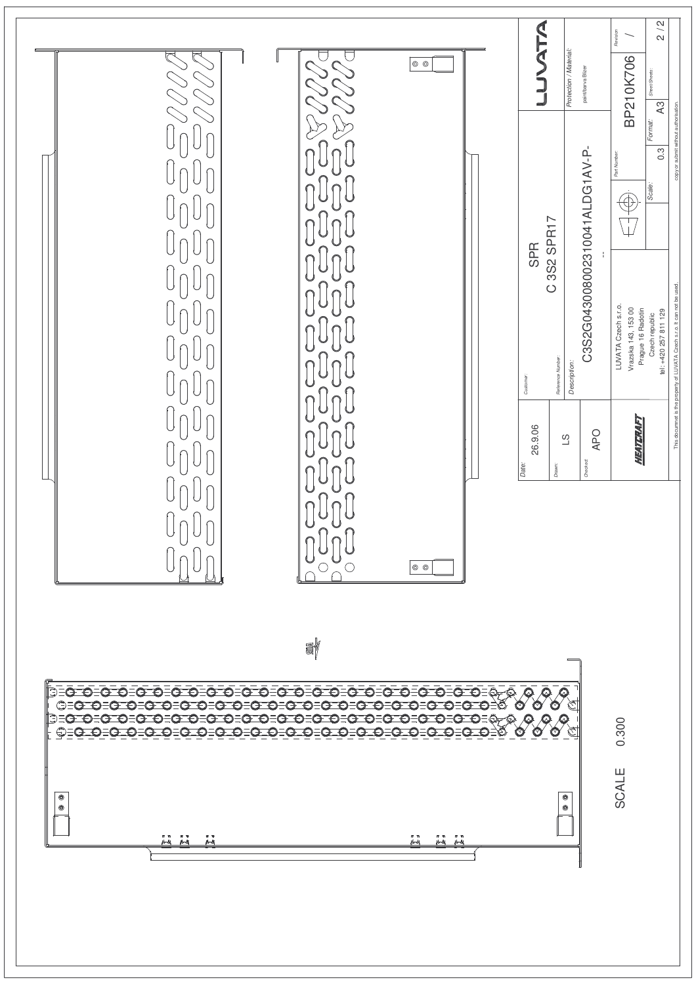